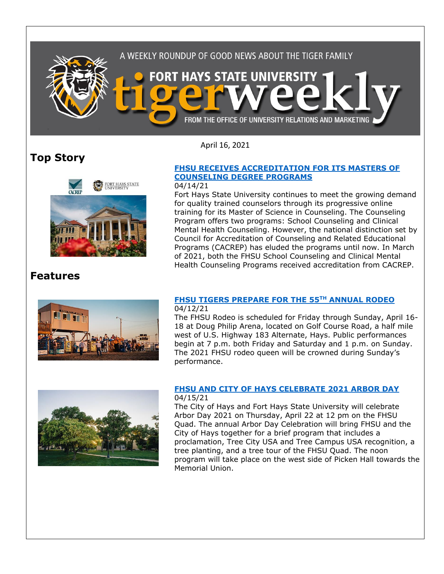

April 16, 2021

## **Top Story**



### **[FHSU RECEIVES ACCREDITATION FOR ITS MASTERS OF](https://www.fhsu.edu/news/2021/04/fhsu-receives-accreditation-for-its-masters-of-counseling-degree-programs)  [COUNSELING DEGREE PROGRAMS](https://www.fhsu.edu/news/2021/04/fhsu-receives-accreditation-for-its-masters-of-counseling-degree-programs)**

#### 04/14/21

Fort Hays State University continues to meet the growing demand for quality trained counselors through its progressive online training for its Master of Science in Counseling. The Counseling Program offers two programs: School Counseling and Clinical Mental Health Counseling. However, the national distinction set by Council for Accreditation of Counseling and Related Educational Programs (CACREP) has eluded the programs until now. In March of 2021, both the FHSU School Counseling and Clinical Mental Health Counseling Programs received accreditation from CACREP.

### **Features**



#### **[FHSU TIGERS PREPARE](https://www.fhsu.edu/news/2021/04/fhsu-tigers-prepare-for-the-55th-annual-rodeo) FOR THE 55TH ANNUAL RODEO** 04/12/21

The FHSU Rodeo is scheduled for Friday through Sunday, April 16- 18 at Doug Philip Arena, located on Golf Course Road, a half mile west of U.S. Highway 183 Alternate, Hays. Public performances begin at 7 p.m. both Friday and Saturday and 1 p.m. on Sunday. The 2021 FHSU rodeo queen will be crowned during Sunday's performance.



#### **[FHSU AND CITY OF HAYS CELEBRATE 2021 ARBOR DAY](https://www.fhsu.edu/news/2021/04/fhsu-and-city-of-hays-celebrate-2021-arbor-day)** 04/15/21

The City of Hays and Fort Hays State University will celebrate Arbor Day 2021 on Thursday, April 22 at 12 pm on the FHSU Quad. The annual Arbor Day Celebration will bring FHSU and the City of Hays together for a brief program that includes a proclamation, Tree City USA and Tree Campus USA recognition, a tree planting, and a tree tour of the FHSU Quad. The noon program will take place on the west side of Picken Hall towards the Memorial Union.